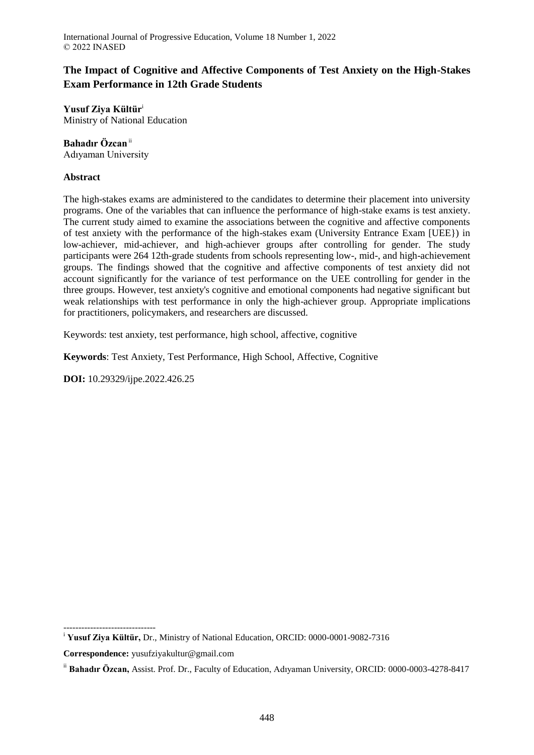International Journal of Progressive Education, Volume 18 Number 1, 2022 © 2022 INASED

# **The Impact of Cognitive and Affective Components of Test Anxiety on the High-Stakes Exam Performance in 12th Grade Students**

**Yusuf Ziya Kültür**<sup>i</sup> Ministry of National Education

## **Bahadır Özcan**ii

Adıyaman University

## **Abstract**

The high-stakes exams are administered to the candidates to determine their placement into university programs. One of the variables that can influence the performance of high-stake exams is test anxiety. The current study aimed to examine the associations between the cognitive and affective components of test anxiety with the performance of the high-stakes exam (University Entrance Exam [UEE}) in low-achiever, mid-achiever, and high-achiever groups after controlling for gender. The study participants were 264 12th-grade students from schools representing low-, mid-, and high-achievement groups. The findings showed that the cognitive and affective components of test anxiety did not account significantly for the variance of test performance on the UEE controlling for gender in the three groups. However, test anxiety's cognitive and emotional components had negative significant but weak relationships with test performance in only the high-achiever group. Appropriate implications for practitioners, policymakers, and researchers are discussed.

Keywords: test anxiety, test performance, high school, affective, cognitive

**Keywords**: Test Anxiety, Test Performance, High School, Affective, Cognitive

**DOI:** 10.29329/ijpe.2022.426.25

<sup>-------------------------------</sup> <sup>i</sup> **Yusuf Ziya Kültür, Dr., Ministry of National Education, ORCID: 0000-0001-9082-7316** 

**Correspondence:** yusufziyakultur@gmail.com

ii **Bahadır Özcan,** Assist. Prof. Dr., Faculty of Education, Adıyaman University, ORCID: 0000-0003-4278-8417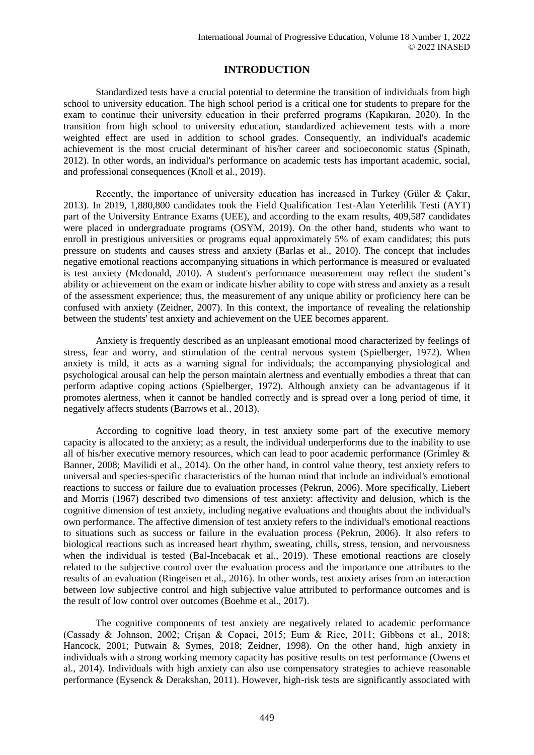## **INTRODUCTION**

Standardized tests have a crucial potential to determine the transition of individuals from high school to university education. The high school period is a critical one for students to prepare for the exam to continue their university education in their preferred programs (Kapıkıran, 2020). In the transition from high school to university education, standardized achievement tests with a more weighted effect are used in addition to school grades. Consequently, an individual's academic achievement is the most crucial determinant of his/her career and socioeconomic status (Spinath, 2012). In other words, an individual's performance on academic tests has important academic, social, and professional consequences (Knoll et al., 2019).

Recently, the importance of university education has increased in Turkey (Güler & Çakır, 2013). In 2019, 1,880,800 candidates took the Field Qualification Test-Alan Yeterlilik Testi (AYT) part of the University Entrance Exams (UEE), and according to the exam results, 409,587 candidates were placed in undergraduate programs (OSYM, 2019). On the other hand, students who want to enroll in prestigious universities or programs equal approximately 5% of exam candidates; this puts pressure on students and causes stress and anxiety (Barlas et al., 2010). The concept that includes negative emotional reactions accompanying situations in which performance is measured or evaluated is test anxiety (Mcdonald, 2010). A student's performance measurement may reflect the student's ability or achievement on the exam or indicate his/her ability to cope with stress and anxiety as a result of the assessment experience; thus, the measurement of any unique ability or proficiency here can be confused with anxiety (Zeidner, 2007). In this context, the importance of revealing the relationship between the students' test anxiety and achievement on the UEE becomes apparent.

Anxiety is frequently described as an unpleasant emotional mood characterized by feelings of stress, fear and worry, and stimulation of the central nervous system (Spielberger, 1972). When anxiety is mild, it acts as a warning signal for individuals; the accompanying physiological and psychological arousal can help the person maintain alertness and eventually embodies a threat that can perform adaptive coping actions (Spielberger, 1972). Although anxiety can be advantageous if it promotes alertness, when it cannot be handled correctly and is spread over a long period of time, it negatively affects students (Barrows et al., 2013).

According to cognitive load theory, in test anxiety some part of the executive memory capacity is allocated to the anxiety; as a result, the individual underperforms due to the inability to use all of his/her executive memory resources, which can lead to poor academic performance (Grimley & Banner, 2008; Mavilidi et al., 2014). On the other hand, in control value theory, test anxiety refers to universal and species-specific characteristics of the human mind that include an individual's emotional reactions to success or failure due to evaluation processes (Pekrun, 2006). More specifically, Liebert and Morris (1967) described two dimensions of test anxiety: affectivity and delusion, which is the cognitive dimension of test anxiety, including negative evaluations and thoughts about the individual's own performance. The affective dimension of test anxiety refers to the individual's emotional reactions to situations such as success or failure in the evaluation process (Pekrun, 2006). It also refers to biological reactions such as increased heart rhythm, sweating, chills, stress, tension, and nervousness when the individual is tested (Bal-Incebacak et al., 2019). These emotional reactions are closely related to the subjective control over the evaluation process and the importance one attributes to the results of an evaluation (Ringeisen et al., 2016). In other words, test anxiety arises from an interaction between low subjective control and high subjective value attributed to performance outcomes and is the result of low control over outcomes (Boehme et al., 2017).

The cognitive components of test anxiety are negatively related to academic performance (Cassady & Johnson, 2002; Crişan & Copaci, 2015; Eum & Rice, 2011; Gibbons et al., 2018; Hancock, 2001; Putwain & Symes, 2018; Zeidner, 1998). On the other hand, high anxiety in individuals with a strong working memory capacity has positive results on test performance (Owens et al., 2014). Individuals with high anxiety can also use compensatory strategies to achieve reasonable performance (Eysenck & Derakshan, 2011). However, high-risk tests are significantly associated with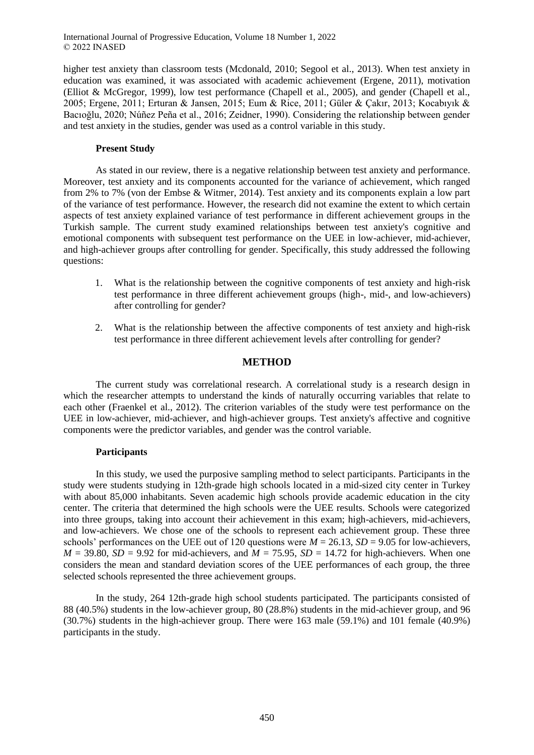higher test anxiety than classroom tests (Mcdonald, 2010; Segool et al., 2013). When test anxiety in education was examined, it was associated with academic achievement (Ergene, 2011), motivation (Elliot & McGregor, 1999), low test performance (Chapell et al., 2005), and gender (Chapell et al., 2005; Ergene, 2011; Erturan & Jansen, 2015; Eum & Rice, 2011; Güler & Çakır, 2013; Kocabıyık & Bacıoğlu, 2020; Núñez Peña et al., 2016; Zeidner, 1990). Considering the relationship between gender and test anxiety in the studies, gender was used as a control variable in this study.

## **Present Study**

As stated in our review, there is a negative relationship between test anxiety and performance. Moreover, test anxiety and its components accounted for the variance of achievement, which ranged from 2% to 7% (von der Embse & Witmer, 2014). Test anxiety and its components explain a low part of the variance of test performance. However, the research did not examine the extent to which certain aspects of test anxiety explained variance of test performance in different achievement groups in the Turkish sample. The current study examined relationships between test anxiety's cognitive and emotional components with subsequent test performance on the UEE in low-achiever, mid-achiever, and high-achiever groups after controlling for gender. Specifically, this study addressed the following questions:

- 1. What is the relationship between the cognitive components of test anxiety and high-risk test performance in three different achievement groups (high-, mid-, and low-achievers) after controlling for gender?
- 2. What is the relationship between the affective components of test anxiety and high-risk test performance in three different achievement levels after controlling for gender?

## **METHOD**

The current study was correlational research. A correlational study is a research design in which the researcher attempts to understand the kinds of naturally occurring variables that relate to each other (Fraenkel et al., 2012). The criterion variables of the study were test performance on the UEE in low-achiever, mid-achiever, and high-achiever groups. Test anxiety's affective and cognitive components were the predictor variables, and gender was the control variable.

### **Participants**

In this study, we used the purposive sampling method to select participants. Participants in the study were students studying in 12th-grade high schools located in a mid-sized city center in Turkey with about 85,000 inhabitants. Seven academic high schools provide academic education in the city center. The criteria that determined the high schools were the UEE results. Schools were categorized into three groups, taking into account their achievement in this exam; high-achievers, mid-achievers, and low-achievers. We chose one of the schools to represent each achievement group. These three schools' performances on the UEE out of 120 questions were  $M = 26.13$ ,  $SD = 9.05$  for low-achievers,  $M = 39.80$ ,  $SD = 9.92$  for mid-achievers, and  $M = 75.95$ ,  $SD = 14.72$  for high-achievers. When one considers the mean and standard deviation scores of the UEE performances of each group, the three selected schools represented the three achievement groups.

In the study, 264 12th-grade high school students participated. The participants consisted of 88 (40.5%) students in the low-achiever group, 80 (28.8%) students in the mid-achiever group, and 96 (30.7%) students in the high-achiever group. There were 163 male (59.1%) and 101 female (40.9%) participants in the study.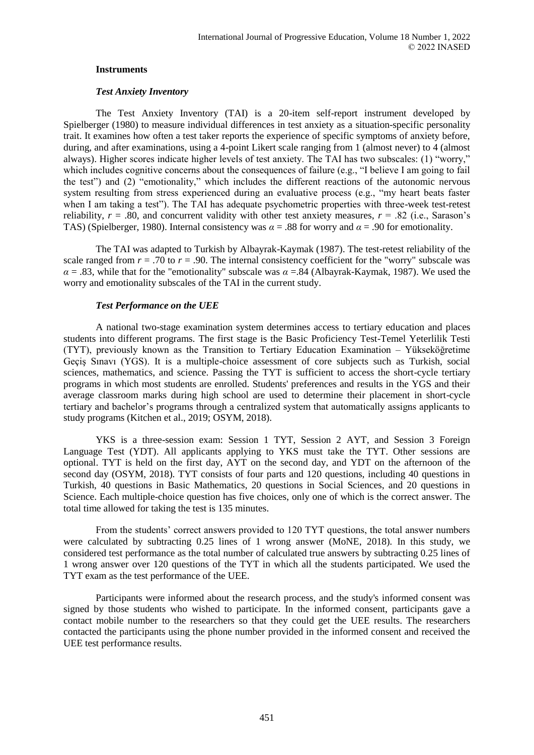### **Instruments**

#### *Test Anxiety Inventory*

The Test Anxiety Inventory (TAI) is a 20-item self-report instrument developed by Spielberger (1980) to measure individual differences in test anxiety as a situation-specific personality trait. It examines how often a test taker reports the experience of specific symptoms of anxiety before, during, and after examinations, using a 4-point Likert scale ranging from 1 (almost never) to 4 (almost always). Higher scores indicate higher levels of test anxiety. The TAI has two subscales: (1) "worry," which includes cognitive concerns about the consequences of failure (e.g., "I believe I am going to fail the test") and (2) "emotionality," which includes the different reactions of the autonomic nervous system resulting from stress experienced during an evaluative process (e.g., "my heart beats faster when I am taking a test"). The TAI has adequate psychometric properties with three-week test-retest reliability,  $r = .80$ , and concurrent validity with other test anxiety measures,  $r = .82$  (i.e., Sarason's TAS) (Spielberger, 1980). Internal consistency was *α* = .88 for worry and *α* = .90 for emotionality.

The TAI was adapted to Turkish by Albayrak-Kaymak (1987). The test-retest reliability of the scale ranged from  $r = .70$  to  $r = .90$ . The internal consistency coefficient for the "worry" subscale was *α* = .83, while that for the "emotionality" subscale was *α* =.84 (Albayrak-Kaymak, 1987). We used the worry and emotionality subscales of the TAI in the current study.

#### *Test Performance on the UEE*

A national two-stage examination system determines access to tertiary education and places students into different programs. The first stage is the Basic Proficiency Test-Temel Yeterlilik Testi (TYT), previously known as the Transition to Tertiary Education Examination ‒ Yükseköğretime Geçiş Sınavı (YGS). It is a multiple-choice assessment of core subjects such as Turkish, social sciences, mathematics, and science. Passing the TYT is sufficient to access the short-cycle tertiary programs in which most students are enrolled. Students' preferences and results in the YGS and their average classroom marks during high school are used to determine their placement in short-cycle tertiary and bachelor's programs through a centralized system that automatically assigns applicants to study programs (Kitchen et al., 2019; OSYM, 2018).

YKS is a three-session exam: Session 1 TYT, Session 2 AYT, and Session 3 Foreign Language Test (YDT). All applicants applying to YKS must take the TYT. Other sessions are optional. TYT is held on the first day, AYT on the second day, and YDT on the afternoon of the second day (OSYM, 2018). TYT consists of four parts and 120 questions, including 40 questions in Turkish, 40 questions in Basic Mathematics, 20 questions in Social Sciences, and 20 questions in Science. Each multiple-choice question has five choices, only one of which is the correct answer. The total time allowed for taking the test is 135 minutes.

From the students' correct answers provided to 120 TYT questions, the total answer numbers were calculated by subtracting 0.25 lines of 1 wrong answer (MoNE, 2018). In this study, we considered test performance as the total number of calculated true answers by subtracting 0.25 lines of 1 wrong answer over 120 questions of the TYT in which all the students participated. We used the TYT exam as the test performance of the UEE.

Participants were informed about the research process, and the study's informed consent was signed by those students who wished to participate. In the informed consent, participants gave a contact mobile number to the researchers so that they could get the UEE results. The researchers contacted the participants using the phone number provided in the informed consent and received the UEE test performance results.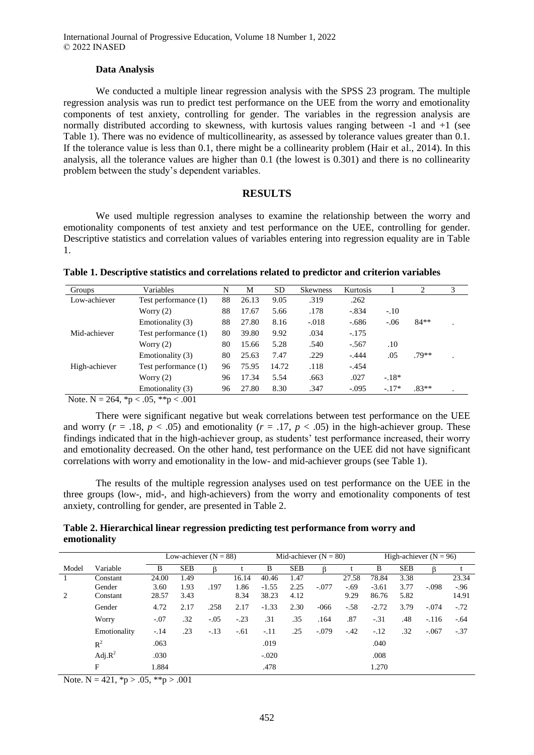#### **Data Analysis**

We conducted a multiple linear regression analysis with the SPSS 23 program. The multiple regression analysis was run to predict test performance on the UEE from the worry and emotionality components of test anxiety, controlling for gender. The variables in the regression analysis are normally distributed according to skewness, with kurtosis values ranging between -1 and +1 (see Table 1). There was no evidence of multicollinearity, as assessed by tolerance values greater than 0.1. If the tolerance value is less than 0.1, there might be a collinearity problem (Hair et al., 2014). In this analysis, all the tolerance values are higher than 0.1 (the lowest is 0.301) and there is no collinearity problem between the study's dependent variables.

### **RESULTS**

We used multiple regression analyses to examine the relationship between the worry and emotionality components of test anxiety and test performance on the UEE, controlling for gender. Descriptive statistics and correlation values of variables entering into regression equality are in Table 1.

| Groups                          | Variables                                     | N  | М     | <b>SD</b> | Skewness | Kurtosis |         | $\overline{c}$ | 3 |
|---------------------------------|-----------------------------------------------|----|-------|-----------|----------|----------|---------|----------------|---|
| Low-achiever                    | Test performance (1)                          | 88 | 26.13 | 9.05      | .319     | .262     |         |                |   |
|                                 | Worry $(2)$                                   | 88 | 17.67 | 5.66      | .178     | $-.834$  | $-.10$  |                |   |
|                                 | Emotionality (3)                              | 88 | 27.80 | 8.16      | $-.018$  | $-.686$  | $-.06$  | $84**$         |   |
| Mid-achiever                    | Test performance (1)                          | 80 | 39.80 | 9.92      | .034     | $-.175$  |         |                |   |
|                                 | Worry $(2)$                                   | 80 | 15.66 | 5.28      | .540     | $-.567$  | .10     |                |   |
|                                 | Emotionality (3)                              | 80 | 25.63 | 7.47      | .229     | $-.444$  | .05     | $.79**$        |   |
| High-achiever                   | Test performance (1)                          | 96 | 75.95 | 14.72     | .118     | $-.454$  |         |                |   |
|                                 | Worry $(2)$                                   | 96 | 17.34 | 5.54      | .663     | .027     | $-18*$  |                |   |
|                                 | Emotionality (3)                              | 96 | 27.80 | 8.30      | .347     | $-.095$  | $-.17*$ | $.83**$        |   |
| $\sim$ $\sim$<br>$-$<br>- - - - | $\sim$ $ \sim$ $\sim$<br>$\sim$ $\sim$ $\sim$ |    |       |           |          |          |         |                |   |

Note. N = 264,  ${}^*p$  < .05,  ${}^*{}^p$  < .001

There were significant negative but weak correlations between test performance on the UEE and worry ( $r = .18$ ,  $p < .05$ ) and emotionality ( $r = .17$ ,  $p < .05$ ) in the high-achiever group. These findings indicated that in the high-achiever group, as students' test performance increased, their worry and emotionality decreased. On the other hand, test performance on the UEE did not have significant correlations with worry and emotionality in the low- and mid-achiever groups (see Table 1).

The results of the multiple regression analyses used on test performance on the UEE in the three groups (low-, mid-, and high-achievers) from the worry and emotionality components of test anxiety, controlling for gender, are presented in Table 2.

## **Table 2. Hierarchical linear regression predicting test performance from worry and emotionality**

|       |              | Low-achiever $(N = 88)$ |            |        |        | Mid-achiever $(N = 80)$ |            |         |        | High-achiever $(N = 96)$ |            |         |        |
|-------|--------------|-------------------------|------------|--------|--------|-------------------------|------------|---------|--------|--------------------------|------------|---------|--------|
| Model | Variable     | B                       | <b>SEB</b> |        |        | B                       | <b>SEB</b> | ß       |        | B                        | <b>SEB</b> | ß       |        |
|       | Constant     | 24.00                   | 1.49       |        | 16.14  | 40.46                   | 1.47       |         | 27.58  | 78.84                    | 3.38       |         | 23.34  |
|       | Gender       | 3.60                    | 1.93       | .197   | 1.86   | $-1.55$                 | 2.25       | $-.077$ | $-.69$ | $-3.61$                  | 3.77       | $-.098$ | $-.96$ |
| 2     | Constant     | 28.57                   | 3.43       |        | 8.34   | 38.23                   | 4.12       |         | 9.29   | 86.76                    | 5.82       |         | 14.91  |
|       | Gender       | 4.72                    | 2.17       | .258   | 2.17   | $-1.33$                 | 2.30       | $-066$  | $-.58$ | $-2.72$                  | 3.79       | $-.074$ | $-.72$ |
|       | Worry        | $-.07$                  | .32        | $-.05$ | $-.23$ | .31                     | .35        | .164    | .87    | $-.31$                   | .48        | $-.116$ | $-.64$ |
|       | Emotionality | $-.14$                  | .23        | $-.13$ | $-.61$ | $-.11$                  | .25        | $-.079$ | $-.42$ | $-.12$                   | .32        | $-.067$ | $-.37$ |
|       | $R^2$        | .063                    |            |        |        | .019                    |            |         |        | .040                     |            |         |        |
|       | Adj. $R^2$   | .030                    |            |        |        | $-.020$                 |            |         |        | .008                     |            |         |        |
|       | F            | 1.884                   |            |        |        | .478                    |            |         |        | 1.270                    |            |         |        |

Note. N = 421,  $*p > .05$ ,  $**p > .001$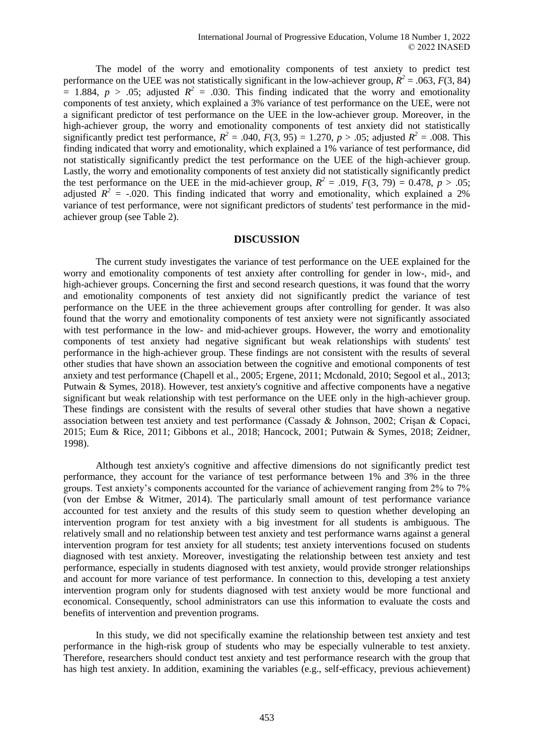The model of the worry and emotionality components of test anxiety to predict test performance on the UEE was not statistically significant in the low-achiever group,  $R^2 = .063$ ,  $F(3, 84)$  $= 1.884, p > .05$ ; adjusted  $R^2 = .030$ . This finding indicated that the worry and emotionality components of test anxiety, which explained a 3% variance of test performance on the UEE, were not a significant predictor of test performance on the UEE in the low-achiever group. Moreover, in the high-achiever group, the worry and emotionality components of test anxiety did not statistically significantly predict test performance,  $R^2 = .040$ ,  $F(3, 95) = 1.270$ ,  $p > .05$ ; adjusted  $R^2 = .008$ . This finding indicated that worry and emotionality, which explained a 1% variance of test performance, did not statistically significantly predict the test performance on the UEE of the high-achiever group. Lastly, the worry and emotionality components of test anxiety did not statistically significantly predict the test performance on the UEE in the mid-achiever group,  $R^2 = .019$ ,  $F(3, 79) = 0.478$ ,  $p > .05$ ; adjusted  $R^2$  = -.020. This finding indicated that worry and emotionality, which explained a 2% variance of test performance, were not significant predictors of students' test performance in the midachiever group (see Table 2).

#### **DISCUSSION**

The current study investigates the variance of test performance on the UEE explained for the worry and emotionality components of test anxiety after controlling for gender in low-, mid-, and high-achiever groups. Concerning the first and second research questions, it was found that the worry and emotionality components of test anxiety did not significantly predict the variance of test performance on the UEE in the three achievement groups after controlling for gender. It was also found that the worry and emotionality components of test anxiety were not significantly associated with test performance in the low- and mid-achiever groups. However, the worry and emotionality components of test anxiety had negative significant but weak relationships with students' test performance in the high-achiever group. These findings are not consistent with the results of several other studies that have shown an association between the cognitive and emotional components of test anxiety and test performance (Chapell et al., 2005; Ergene, 2011; Mcdonald, 2010; Segool et al., 2013; Putwain & Symes, 2018). However, test anxiety's cognitive and affective components have a negative significant but weak relationship with test performance on the UEE only in the high-achiever group. These findings are consistent with the results of several other studies that have shown a negative association between test anxiety and test performance (Cassady & Johnson, 2002; Crişan & Copaci, 2015; Eum & Rice, 2011; Gibbons et al., 2018; Hancock, 2001; Putwain & Symes, 2018; Zeidner, 1998).

Although test anxiety's cognitive and affective dimensions do not significantly predict test performance, they account for the variance of test performance between 1% and 3% in the three groups. Test anxiety's components accounted for the variance of achievement ranging from 2% to 7% (von der Embse & Witmer, 2014). The particularly small amount of test performance variance accounted for test anxiety and the results of this study seem to question whether developing an intervention program for test anxiety with a big investment for all students is ambiguous. The relatively small and no relationship between test anxiety and test performance warns against a general intervention program for test anxiety for all students; test anxiety interventions focused on students diagnosed with test anxiety. Moreover, investigating the relationship between test anxiety and test performance, especially in students diagnosed with test anxiety, would provide stronger relationships and account for more variance of test performance. In connection to this, developing a test anxiety intervention program only for students diagnosed with test anxiety would be more functional and economical. Consequently, school administrators can use this information to evaluate the costs and benefits of intervention and prevention programs.

In this study, we did not specifically examine the relationship between test anxiety and test performance in the high-risk group of students who may be especially vulnerable to test anxiety. Therefore, researchers should conduct test anxiety and test performance research with the group that has high test anxiety. In addition, examining the variables (e.g., self-efficacy, previous achievement)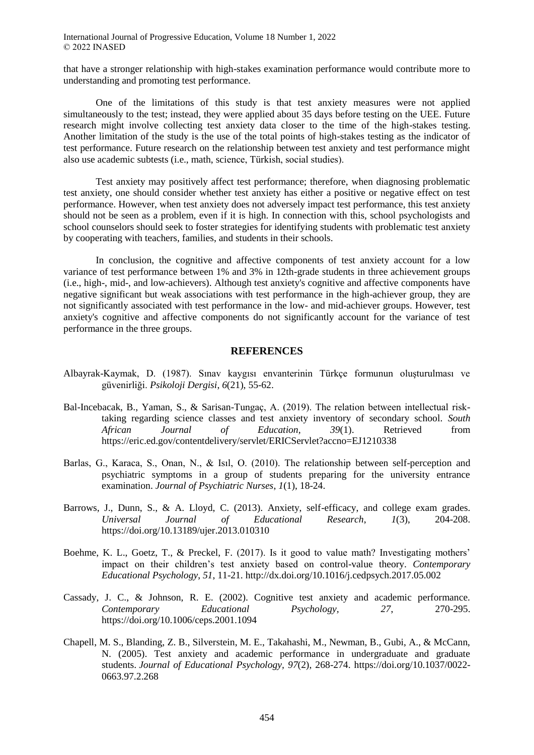that have a stronger relationship with high-stakes examination performance would contribute more to understanding and promoting test performance.

One of the limitations of this study is that test anxiety measures were not applied simultaneously to the test; instead, they were applied about 35 days before testing on the UEE. Future research might involve collecting test anxiety data closer to the time of the high-stakes testing. Another limitation of the study is the use of the total points of high-stakes testing as the indicator of test performance. Future research on the relationship between test anxiety and test performance might also use academic subtests (i.e., math, science, Türkish, social studies).

Test anxiety may positively affect test performance; therefore, when diagnosing problematic test anxiety, one should consider whether test anxiety has either a positive or negative effect on test performance. However, when test anxiety does not adversely impact test performance, this test anxiety should not be seen as a problem, even if it is high. In connection with this, school psychologists and school counselors should seek to foster strategies for identifying students with problematic test anxiety by cooperating with teachers, families, and students in their schools.

In conclusion, the cognitive and affective components of test anxiety account for a low variance of test performance between 1% and 3% in 12th-grade students in three achievement groups (i.e., high-, mid-, and low-achievers). Although test anxiety's cognitive and affective components have negative significant but weak associations with test performance in the high-achiever group, they are not significantly associated with test performance in the low- and mid-achiever groups. However, test anxiety's cognitive and affective components do not significantly account for the variance of test performance in the three groups.

#### **REFERENCES**

- Albayrak-Kaymak, D. (1987). Sınav kaygısı envanterinin Türkçe formunun oluşturulması ve güvenirliği. *Psikoloji Dergisi*, *6*(21), 55-62.
- Bal-Incebacak, B., Yaman, S., & Sarisan-Tungaç, A. (2019). The relation between intellectual risktaking regarding science classes and test anxiety inventory of secondary school. *South African Journal of Education, 39*(1). Retrieved from https://eric.ed.gov/contentdelivery/servlet/ERICServlet?accno=EJ1210338
- Barlas, G., Karaca, S., Onan, N., & Isıl, O. (2010). The relationship between self-perception and psychiatric symptoms in a group of students preparing for the university entrance examination. *Journal of Psychiatric Nurses*, *1*(1), 18-24.
- Barrows, J., Dunn, S., & A. Lloyd, C. (2013). Anxiety, self-efficacy, and college exam grades. *Universal Journal of Educational Research*, *1*(3), 204-208. https://doi.org/10.13189/ujer.2013.010310
- Boehme, K. L., Goetz, T., & Preckel, F. (2017). Is it good to value math? Investigating mothers' impact on their children's test anxiety based on control-value theory. *Contemporary Educational Psychology*, *51*, 11-21. http://dx.doi.org/10.1016/j.cedpsych.2017.05.002
- Cassady, J. C., & Johnson, R. E. (2002). Cognitive test anxiety and academic performance. *Contemporary Educational Psychology, 27*, 270-295. https://doi.org/10.1006/ceps.2001.1094
- Chapell, M. S., Blanding, Z. B., Silverstein, M. E., Takahashi, M., Newman, B., Gubi, A., & McCann, N. (2005). Test anxiety and academic performance in undergraduate and graduate students. *Journal of Educational Psychology, 97*(2), 268-274. https://doi.org/10.1037/0022- 0663.97.2.268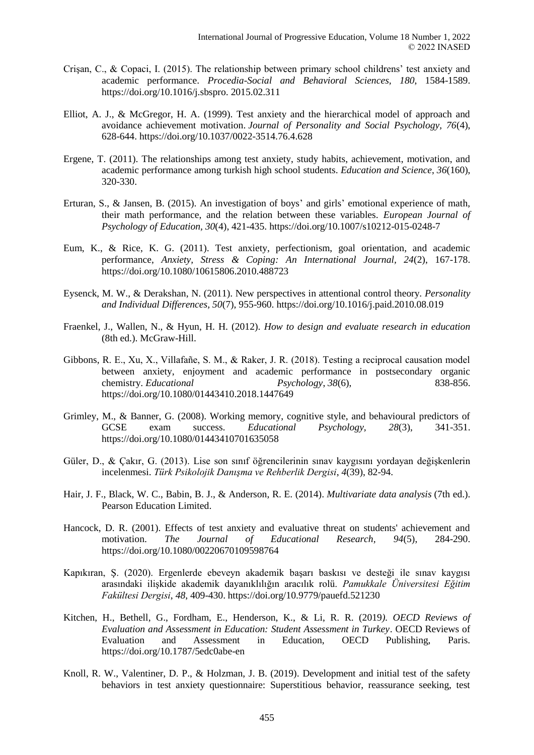- Crişan, C., & Copaci, I. (2015). The relationship between primary school childrens' test anxiety and academic performance. *Procedia-Social and Behavioral Sciences, 180*, 1584-1589. https://doi.org/10.1016/j.sbspro. 2015.02.311
- Elliot, A. J., & McGregor, H. A. (1999). Test anxiety and the hierarchical model of approach and avoidance achievement motivation. *Journal of Personality and Social Psychology, 76*(4), 628-644. https://doi.org/10.1037/0022-3514.76.4.628
- Ergene, T. (2011). The relationships among test anxiety, study habits, achievement, motivation, and academic performance among turkish high school students. *Education and Science*, *36*(160), 320-330.
- Erturan, S., & Jansen, B. (2015). An investigation of boys' and girls' emotional experience of math, their math performance, and the relation between these variables. *European Journal of Psychology of Education, 30*(4), 421-435. https://doi.org/10.1007/s10212-015-0248-7
- Eum, K., & Rice, K. G. (2011). Test anxiety, perfectionism, goal orientation, and academic performance, *Anxiety, Stress & Coping: An International Journal, 24*(2), 167-178. https://doi.org/10.1080/10615806.2010.488723
- Eysenck, M. W., & Derakshan, N. (2011). New perspectives in attentional control theory. *Personality and Individual Differences, 50*(7), 955-960. https://doi.org/10.1016/j.paid.2010.08.019
- Fraenkel, J., Wallen, N., & Hyun, H. H. (2012). *How to design and evaluate research in education*  (8th ed.). McGraw-Hill.
- Gibbons, R. E., Xu, X., Villafañe, S. M., & Raker, J. R. (2018). Testing a reciprocal causation model between anxiety, enjoyment and academic performance in postsecondary organic chemistry. *Educational Psychology*, *38*(6), 838-856. https://doi.org/10.1080/01443410.2018.1447649
- Grimley, M., & Banner, G. (2008). Working memory, cognitive style, and behavioural predictors of GCSE exam success. *Educational Psychology, 28*(3), 341-351. https://doi.org/10.1080/01443410701635058
- Güler, D., & Çakır, G. (2013). Lise son sınıf öğrencilerinin sınav kaygısını yordayan değişkenlerin incelenmesi. *Türk Psikolojik Danışma ve Rehberlik Dergisi*, *4*(39), 82-94.
- Hair, J. F., Black, W. C., Babin, B. J., & Anderson, R. E. (2014). *Multivariate data analysis* (7th ed.). Pearson Education Limited.
- Hancock, D. R. (2001). Effects of test anxiety and evaluative threat on students' achievement and motivation. *The Journal of Educational Research, 94*(5), 284-290. https://doi.org/10.1080/00220670109598764
- Kapıkıran, Ş. (2020). Ergenlerde ebeveyn akademik başarı baskısı ve desteği ile sınav kaygısı arasındaki ilişkide akademik dayanıklılığın aracılık rolü. *Pamukkale Üniversitesi Eğitim Fakültesi Dergisi*, *48*, 409-430. https://doi.org/10.9779/pauefd.521230
- Kitchen, H., Bethell, G., Fordham, E., Henderson, K., & Li, R. R. (2019*). OECD Reviews of Evaluation and Assessment in Education: Student Assessment in Turkey*. OECD Reviews of Evaluation and Assessment in Education, OECD Publishing, Paris. https://doi.org/10.1787/5edc0abe-en
- Knoll, R. W., Valentiner, D. P., & Holzman, J. B. (2019). Development and initial test of the safety behaviors in test anxiety questionnaire: Superstitious behavior, reassurance seeking, test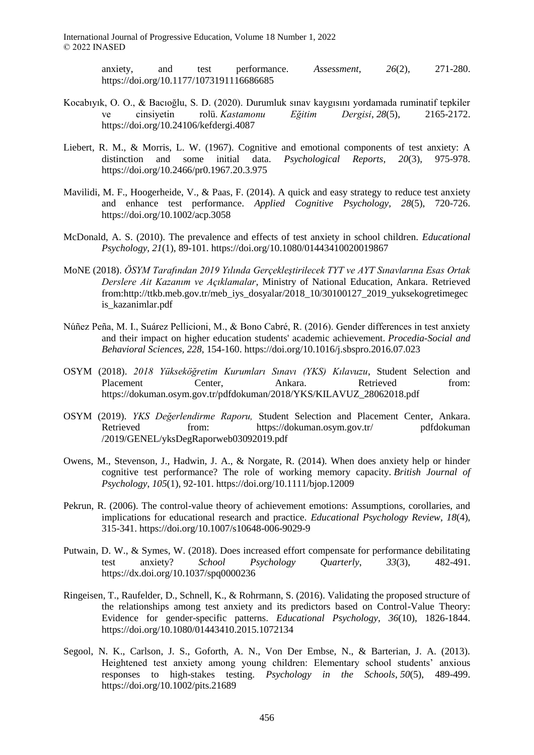International Journal of Progressive Education, Volume 18 Number 1, 2022 © 2022 INASED

> anxiety, and test performance. *Assessment*, *26*(2), 271-280. https://doi.org/10.1177/1073191116686685

- Kocabıyık, O. O., & Bacıoğlu, S. D. (2020). Durumluk sınav kaygısını yordamada ruminatif tepkiler ve cinsiyetin rolü. *Kastamonu Eğitim Dergisi*, *28*(5), 2165-2172. https://doi.org/10.24106/kefdergi.4087
- Liebert, R. M., & Morris, L. W. (1967). Cognitive and emotional components of test anxiety: A distinction and some initial data. *Psychological Reports, 20*(3), 975-978. https://doi.org/10.2466/pr0.1967.20.3.975
- Mavilidi, M. F., Hoogerheide, V., & Paas, F. (2014). A quick and easy strategy to reduce test anxiety and enhance test performance. *Applied Cognitive Psychology, 28*(5), 720-726. https://doi.org/10.1002/acp.3058
- McDonald, A. S. (2010). The prevalence and effects of test anxiety in school children. *Educational Psychology, 21*(1), 89-101. https://doi.org/10.1080/01443410020019867
- MoNE (2018). *ÖSYM Tarafından 2019 Yılında Gerçekleştirilecek TYT ve AYT Sınavlarına Esas Ortak Derslere Ait Kazanım ve Açıklamalar*, Ministry of National Education, Ankara. Retrieved from:http://ttkb.meb.gov.tr/meb\_iys\_dosyalar/2018\_10/30100127\_2019\_yuksekogretimegec is\_kazanimlar.pdf
- Núñez Peña, M. I., Suárez Pellicioni, M., & Bono Cabré, R. (2016). Gender differences in test anxiety and their impact on higher education students' academic achievement. *Procedia-Social and Behavioral Sciences, 228*, 154-160. https://doi.org/10.1016/j.sbspro.2016.07.023
- OSYM (2018). *2018 Yükseköğretim Kurumları Sınavı (YKS) Kılavuzu*, Student Selection and Placement Center, Ankara. Retrieved from: https://dokuman.osym.gov.tr/pdfdokuman/2018/YKS/KILAVUZ\_28062018.pdf
- OSYM (2019). *YKS Değerlendirme Raporu,* Student Selection and Placement Center, Ankara. Retrieved from: https://dokuman.osym.gov.tr/ pdfdokuman /2019/GENEL/yksDegRaporweb03092019.pdf
- Owens, M., Stevenson, J., Hadwin, J. A., & Norgate, R. (2014). When does anxiety help or hinder cognitive test performance? The role of working memory capacity. *British Journal of Psychology*, *105*(1), 92-101. https://doi.org/10.1111/bjop.12009
- Pekrun, R. (2006). The control-value theory of achievement emotions: Assumptions, corollaries, and implications for educational research and practice. *Educational Psychology Review, 18*(4), 315-341. https://doi.org/10.1007/s10648-006-9029-9
- Putwain, D. W., & Symes, W. (2018). Does increased effort compensate for performance debilitating test anxiety? *School Psychology Quarterly*, *33*(3), 482-491. https://dx.doi.org/10.1037/spq0000236
- Ringeisen, T., Raufelder, D., Schnell, K., & Rohrmann, S. (2016). Validating the proposed structure of the relationships among test anxiety and its predictors based on Control-Value Theory: Evidence for gender-specific patterns. *Educational Psychology, 36*(10), 1826-1844. https://doi.org/10.1080/01443410.2015.1072134
- Segool, N. K., Carlson, J. S., Goforth, A. N., Von Der Embse, N., & Barterian, J. A. (2013). Heightened test anxiety among young children: Elementary school students' anxious responses to high-stakes testing. *Psychology in the Schools*, *50*(5), 489-499. https://doi.org/10.1002/pits.21689